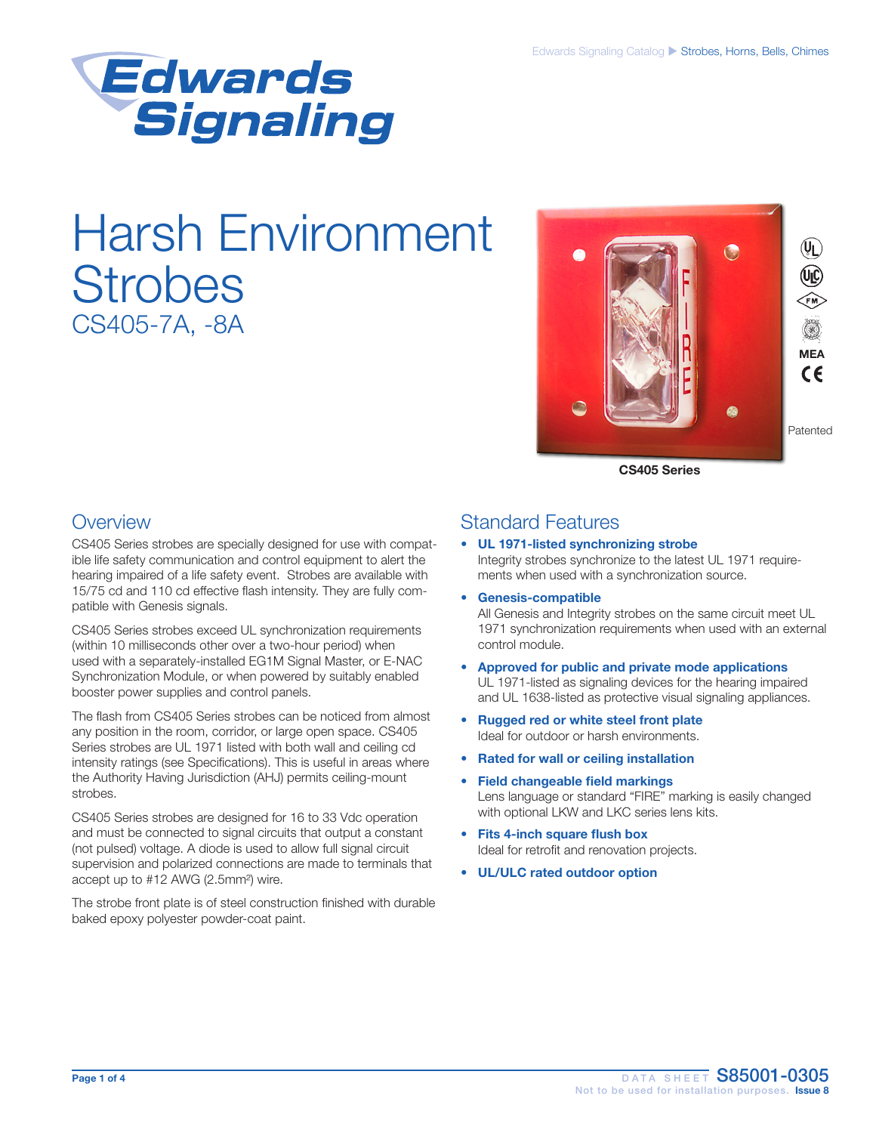

# Harsh Environment **Strobes** CS405-7A, -8A



CS405 Series

### **Overview**

CS405 Series strobes are specially designed for use with compatible life safety communication and control equipment to alert the hearing impaired of a life safety event. Strobes are available with 15/75 cd and 110 cd effective flash intensity. They are fully compatible with Genesis signals.

CS405 Series strobes exceed UL synchronization requirements (within 10 milliseconds other over a two-hour period) when used with a separately-installed EG1M Signal Master, or E-NAC Synchronization Module, or when powered by suitably enabled booster power supplies and control panels.

The flash from CS405 Series strobes can be noticed from almost any position in the room, corridor, or large open space. CS405 Series strobes are UL 1971 listed with both wall and ceiling cd intensity ratings (see Specifications). This is useful in areas where the Authority Having Jurisdiction (AHJ) permits ceiling-mount strobes.

CS405 Series strobes are designed for 16 to 33 Vdc operation and must be connected to signal circuits that output a constant (not pulsed) voltage. A diode is used to allow full signal circuit supervision and polarized connections are made to terminals that accept up to #12 AWG (2.5mm²) wire.

The strobe front plate is of steel construction finished with durable baked epoxy polyester powder-coat paint.

### Standard Features

#### UL 1971-listed synchronizing strobe Integrity strobes synchronize to the latest UL 1971 requirements when used with a synchronization source.

- Genesis-compatible All Genesis and Integrity strobes on the same circuit meet UL 1971 synchronization requirements when used with an external control module.
- Approved for public and private mode applications UL 1971-listed as signaling devices for the hearing impaired and UL 1638-listed as protective visual signaling appliances.
- Rugged red or white steel front plate Ideal for outdoor or harsh environments.
- Rated for wall or ceiling installation
- Field changeable field markings Lens language or standard "FIRE" marking is easily changed with optional LKW and LKC series lens kits.
- Fits 4-inch square flush box Ideal for retrofit and renovation projects.
- UL/ULC rated outdoor option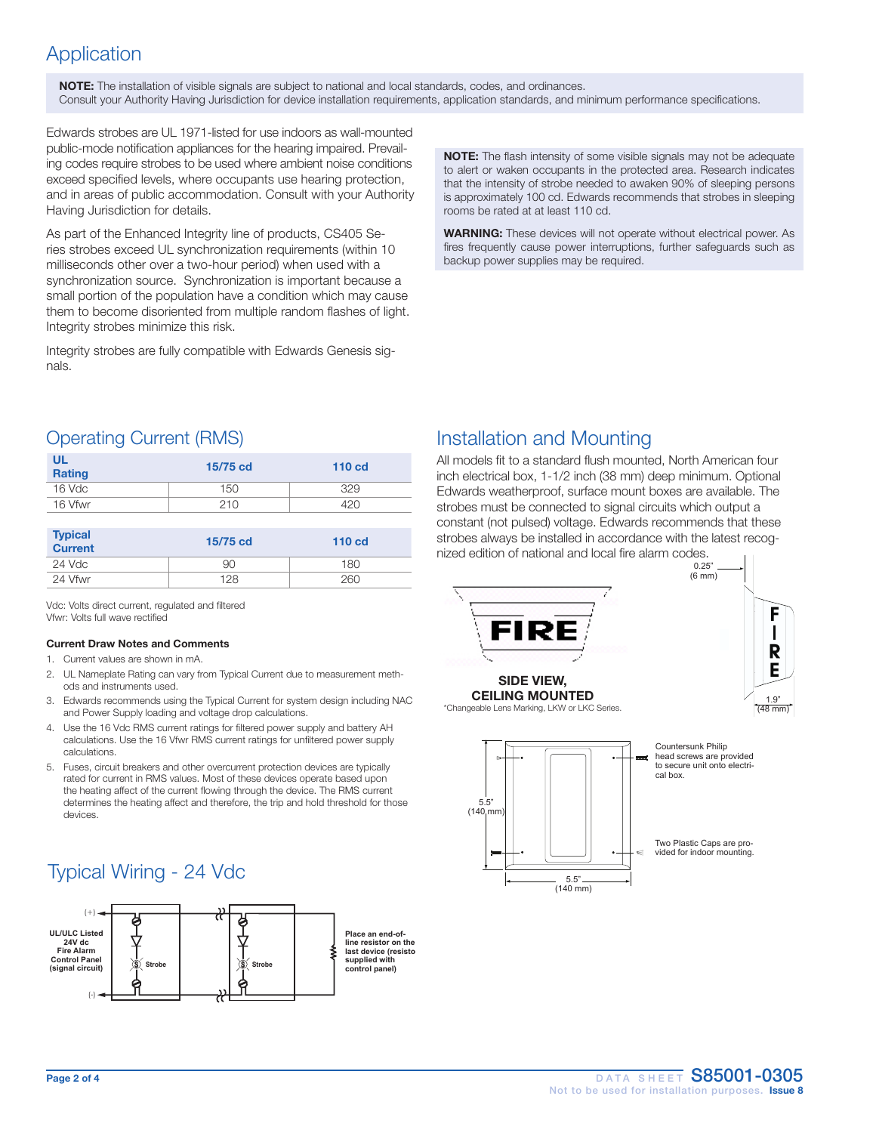### Application

NOTE: The installation of visible signals are subject to national and local standards, codes, and ordinances. Consult your Authority Having Jurisdiction for device installation requirements, application standards, and minimum performance specifications.

Edwards strobes are UL 1971-listed for use indoors as wall-mounted public-mode notification appliances for the hearing impaired. Prevailing codes require strobes to be used where ambient noise conditions exceed specified levels, where occupants use hearing protection, and in areas of public accommodation. Consult with your Authority Having Jurisdiction for details.

As part of the Enhanced Integrity line of products, CS405 Series strobes exceed UL synchronization requirements (within 10 milliseconds other over a two-hour period) when used with a synchronization source. Synchronization is important because a small portion of the population have a condition which may cause them to become disoriented from multiple random flashes of light. Integrity strobes minimize this risk.

Integrity strobes are fully compatible with Edwards Genesis signals.

NOTE: The flash intensity of some visible signals may not be adequate to alert or waken occupants in the protected area. Research indicates that the intensity of strobe needed to awaken 90% of sleeping persons is approximately 100 cd. Edwards recommends that strobes in sleeping rooms be rated at at least 110 cd.

WARNING: These devices will not operate without electrical power. As fires frequently cause power interruptions, further safeguards such as backup power supplies may be required.

### Operating Current (RMS)

| <b>UL</b><br><b>Rating</b> | 15/75 cd | 110 <sub>cd</sub> |
|----------------------------|----------|-------------------|
| $16$ Vdc                   | 150      | 329               |
| 16 Vfwr                    | 210      | 420               |

| <b>Typical</b><br><b>Current</b> | 15/75 cd | 110 <sub>cd</sub> |
|----------------------------------|----------|-------------------|
| 24 Vdc                           | 90       | 180               |
| 24 Vfwr                          | 128      | 260               |

Vdc: Volts direct current, regulated and filtered Vfwr: Volts full wave rectified

#### Current Draw Notes and Comments

1. Current values are shown in mA.

- 2. UL Nameplate Rating can vary from Typical Current due to measurement methods and instruments used.
- 3. Edwards recommends using the Typical Current for system design including NAC and Power Supply loading and voltage drop calculations.
- 4. Use the 16 Vdc RMS current ratings for filtered power supply and battery AH calculations. Use the 16 Vfwr RMS current ratings for unfiltered power supply calculations.
- 5. Fuses, circuit breakers and other overcurrent protection devices are typically rated for current in RMS values. Most of these devices operate based upon the heating affect of the current flowing through the device. The RMS current determines the heating affect and therefore, the trip and hold threshold for those devices.

# Typical Wiring - 24 Vdc



### Installation and Mounting

All models fit to a standard flush mounted, North American four inch electrical box, 1-1/2 inch (38 mm) deep minimum. Optional Edwards weatherproof, surface mount boxes are available. The strobes must be connected to signal circuits which output a constant (not pulsed) voltage. Edwards recommends that these strobes always be installed in accordance with the latest recognized edition of national and local fire alarm codes.

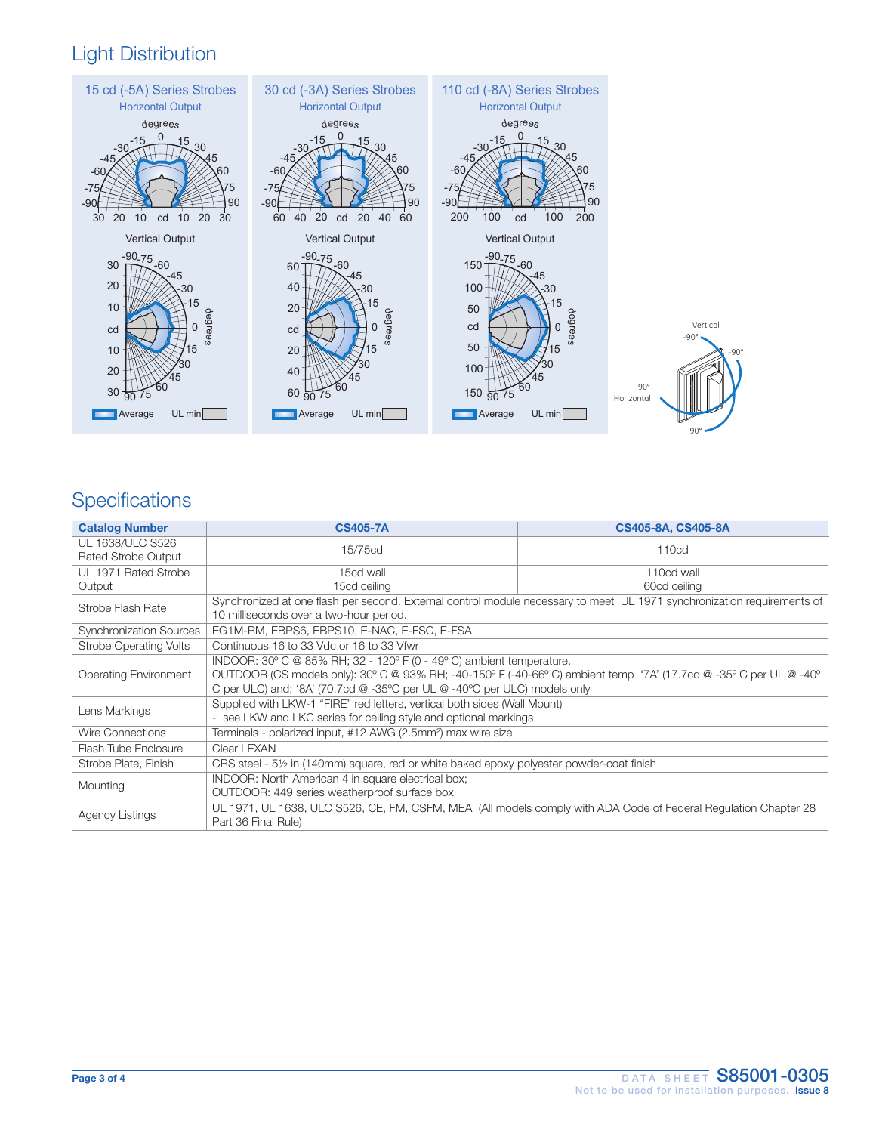## Light Distribution



# **Specifications**

| <b>Catalog Number</b>                          | <b>CS405-7A</b>                                                                                                                                                                                                                                                                                         | CS405-8A, CS405-8A |  |
|------------------------------------------------|---------------------------------------------------------------------------------------------------------------------------------------------------------------------------------------------------------------------------------------------------------------------------------------------------------|--------------------|--|
| UL 1638/ULC S526<br><b>Rated Strobe Output</b> | 15/75cd                                                                                                                                                                                                                                                                                                 | 110cd              |  |
| UL 1971 Rated Strobe                           | 15cd wall                                                                                                                                                                                                                                                                                               | 110cd wall         |  |
| Output                                         | 15cd ceiling                                                                                                                                                                                                                                                                                            | 60cd ceiling       |  |
| Strobe Flash Rate                              | Synchronized at one flash per second. External control module necessary to meet UL 1971 synchronization requirements of<br>10 milliseconds over a two-hour period.                                                                                                                                      |                    |  |
| <b>Synchronization Sources</b>                 | EG1M-RM, EBPS6, EBPS10, E-NAC, E-FSC, E-FSA                                                                                                                                                                                                                                                             |                    |  |
| Strobe Operating Volts                         | Continuous 16 to 33 Vdc or 16 to 33 Vfwr                                                                                                                                                                                                                                                                |                    |  |
| <b>Operating Environment</b>                   | INDOOR: $30^{\circ}$ C @ 85% RH; $32 - 120^{\circ}$ F (0 - 49° C) ambient temperature.<br>OUTDOOR (CS models only): 30° C @ 93% RH; -40-150° F (-40-66° C) ambient temp '7A' (17.7cd @ -35° C per UL @ -40°<br>C per ULC) and: '8A' (70.7cd $@-35^{\circ}C$ per UL $@-40^{\circ}C$ per ULC) models only |                    |  |
| Lens Markings                                  | Supplied with LKW-1 "FIRE" red letters, vertical both sides (Wall Mount)<br>- see LKW and LKC series for ceiling style and optional markings                                                                                                                                                            |                    |  |
| <b>Wire Connections</b>                        | Terminals - polarized input, #12 AWG (2.5mm <sup>2</sup> ) max wire size                                                                                                                                                                                                                                |                    |  |
| Flash Tube Enclosure                           | Clear LEXAN                                                                                                                                                                                                                                                                                             |                    |  |
| Strobe Plate, Finish                           | CRS steel - 51/2 in (140mm) square, red or white baked epoxy polyester powder-coat finish                                                                                                                                                                                                               |                    |  |
| Mounting                                       | INDOOR: North American 4 in square electrical box;<br>OUTDOOR: 449 series weatherproof surface box                                                                                                                                                                                                      |                    |  |
| <b>Agency Listings</b>                         | UL 1971, UL 1638, ULC S526, CE, FM, CSFM, MEA (All models comply with ADA Code of Federal Regulation Chapter 28<br>Part 36 Final Rule)                                                                                                                                                                  |                    |  |

 $90^\circ$